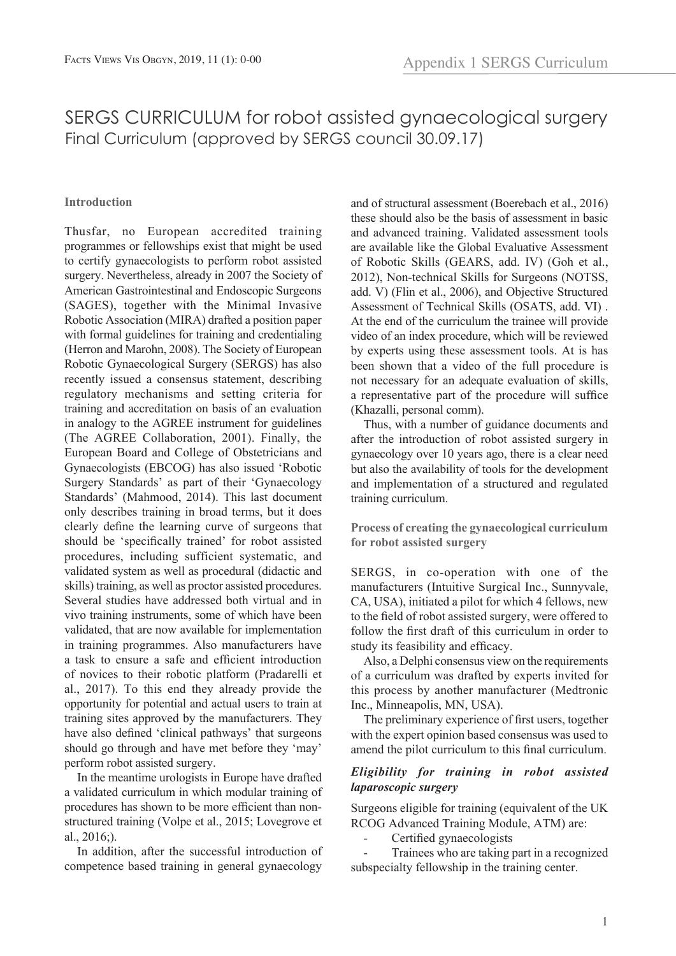# SERGS CURRICULUM for robot assisted gynaecological surgery Final Curriculum (approved by SERGS council 30.09.17)

# **Introduction**

Thusfar, no European accredited training programmes or fellowships exist that might be used to certify gynaecologists to perform robot assisted surgery. Nevertheless, already in 2007 the Society of American Gastrointestinal and Endoscopic Surgeons (SAGES), together with the Minimal Invasive Robotic Association (MIRA) drafted a position paper with formal guidelines for training and credentialing (Herron and Marohn, 2008). The Society of European Robotic Gynaecological Surgery (SERGS) has also recently issued a consensus statement, describing regulatory mechanisms and setting criteria for training and accreditation on basis of an evaluation in analogy to the AGREE instrument for guidelines (The AGREE Collaboration, 2001). Finally, the European Board and College of Obstetricians and Gynaecologists (EBCOG) has also issued 'Robotic Surgery Standards' as part of their 'Gynaecology Standards' (Mahmood, 2014). This last document only describes training in broad terms, but it does clearly define the learning curve of surgeons that should be 'specifically trained' for robot assisted procedures, including sufficient systematic, and validated system as well as procedural (didactic and skills) training, as well as proctor assisted procedures. Several studies have addressed both virtual and in vivo training instruments, some of which have been validated, that are now available for implementation in training programmes. Also manufacturers have a task to ensure a safe and efficient introduction of novices to their robotic platform (Pradarelli et al., 2017). To this end they already provide the opportunity for potential and actual users to train at training sites approved by the manufacturers. They have also defined 'clinical pathways' that surgeons should go through and have met before they 'may' perform robot assisted surgery.

In the meantime urologists in Europe have drafted a validated curriculum in which modular training of procedures has shown to be more efficient than nonstructured training (Volpe et al., 2015; Lovegrove et al., 2016;).

In addition, after the successful introduction of competence based training in general gynaecology and of structural assessment (Boerebach et al., 2016) these should also be the basis of assessment in basic and advanced training. Validated assessment tools are available like the Global Evaluative Assessment of Robotic Skills (GEARS, add. IV) (Goh et al., 2012), Non-technical Skills for Surgeons (NOTSS, add. V) (Flin et al., 2006), and Objective Structured Assessment of Technical Skills (OSATS, add. VI) . At the end of the curriculum the trainee will provide video of an index procedure, which will be reviewed by experts using these assessment tools. At is has been shown that a video of the full procedure is not necessary for an adequate evaluation of skills, a representative part of the procedure will suffice (Khazalli, personal comm).

Thus, with a number of guidance documents and after the introduction of robot assisted surgery in gynaecology over 10 years ago, there is a clear need but also the availability of tools for the development and implementation of a structured and regulated training curriculum.

**Process of creating the gynaecological curriculum for robot assisted surgery**

SERGS, in co-operation with one of the manufacturers (Intuitive Surgical Inc., Sunnyvale, CA, USA), initiated a pilot for which 4 fellows, new to the field of robot assisted surgery, were offered to follow the first draft of this curriculum in order to study its feasibility and efficacy.

Also, a Delphi consensus view on the requirements of a curriculum was drafted by experts invited for this process by another manufacturer (Medtronic Inc., Minneapolis, MN, USA).

The preliminary experience of first users, together with the expert opinion based consensus was used to amend the pilot curriculum to this final curriculum.

# *Eligibility for training in robot assisted laparoscopic surgery*

Surgeons eligible for training (equivalent of the UK RCOG Advanced Training Module, ATM) are:

Certified gynaecologists

- Trainees who are taking part in a recognized subspecialty fellowship in the training center.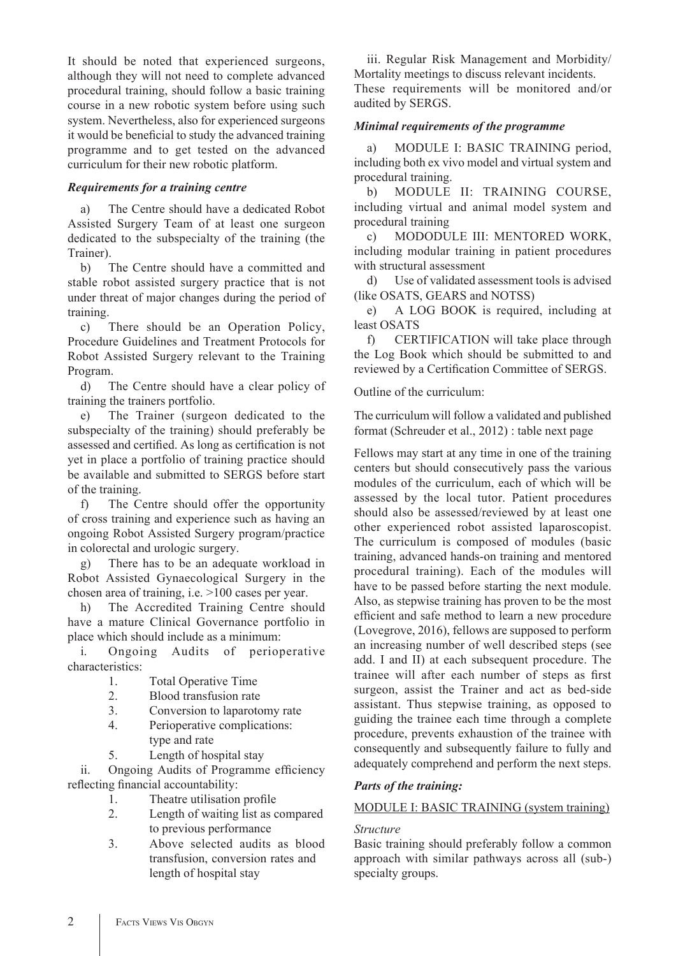It should be noted that experienced surgeons, although they will not need to complete advanced procedural training, should follow a basic training course in a new robotic system before using such system. Nevertheless, also for experienced surgeons it would be beneficial to study the advanced training programme and to get tested on the advanced curriculum for their new robotic platform.

# *Requirements for a training centre*

a) The Centre should have a dedicated Robot Assisted Surgery Team of at least one surgeon dedicated to the subspecialty of the training (the Trainer).

b) The Centre should have a committed and stable robot assisted surgery practice that is not under threat of major changes during the period of training.

c) There should be an Operation Policy, Procedure Guidelines and Treatment Protocols for Robot Assisted Surgery relevant to the Training Program.

d) The Centre should have a clear policy of training the trainers portfolio.

e) The Trainer (surgeon dedicated to the subspecialty of the training) should preferably be assessed and certified. As long as certification is not yet in place a portfolio of training practice should be available and submitted to SERGS before start of the training.

f) The Centre should offer the opportunity of cross training and experience such as having an ongoing Robot Assisted Surgery program/practice in colorectal and urologic surgery.

g) There has to be an adequate workload in Robot Assisted Gynaecological Surgery in the chosen area of training, i.e. >100 cases per year.

h) The Accredited Training Centre should have a mature Clinical Governance portfolio in place which should include as a minimum:

i. Ongoing Audits of perioperative characteristics:

- 1. Total Operative Time
- 2. Blood transfusion rate
- 3. Conversion to laparotomy rate
- 4. Perioperative complications: type and rate
- 5. Length of hospital stay

ii. Ongoing Audits of Programme efficiency reflecting financial accountability:

- 1. Theatre utilisation profile
- 2. Length of waiting list as compared to previous performance
- 3. Above selected audits as blood transfusion, conversion rates and length of hospital stay

iii. Regular Risk Management and Morbidity/ Mortality meetings to discuss relevant incidents. These requirements will be monitored and/or audited by SERGS.

### *Minimal requirements of the programme*

a) MODULE I: BASIC TRAINING period, including both ex vivo model and virtual system and procedural training.

b) MODULE II: TRAINING COURSE, including virtual and animal model system and procedural training

c) MODODULE III: MENTORED WORK, including modular training in patient procedures with structural assessment

d) Use of validated assessment tools is advised (like OSATS, GEARS and NOTSS)

e) A LOG BOOK is required, including at least OSATS

f) CERTIFICATION will take place through the Log Book which should be submitted to and reviewed by a Certification Committee of SERGS.

Outline of the curriculum:

The curriculum will follow a validated and published format (Schreuder et al., 2012) : table next page

Fellows may start at any time in one of the training centers but should consecutively pass the various modules of the curriculum, each of which will be assessed by the local tutor. Patient procedures should also be assessed/reviewed by at least one other experienced robot assisted laparoscopist. The curriculum is composed of modules (basic training, advanced hands-on training and mentored procedural training). Each of the modules will have to be passed before starting the next module. Also, as stepwise training has proven to be the most efficient and safe method to learn a new procedure (Lovegrove, 2016), fellows are supposed to perform an increasing number of well described steps (see add. I and II) at each subsequent procedure. The trainee will after each number of steps as first surgeon, assist the Trainer and act as bed-side assistant. Thus stepwise training, as opposed to guiding the trainee each time through a complete procedure, prevents exhaustion of the trainee with consequently and subsequently failure to fully and adequately comprehend and perform the next steps.

# *Parts of the training:*

#### MODULE I: BASIC TRAINING (system training)

# *Structure*

Basic training should preferably follow a common approach with similar pathways across all (sub-) specialty groups.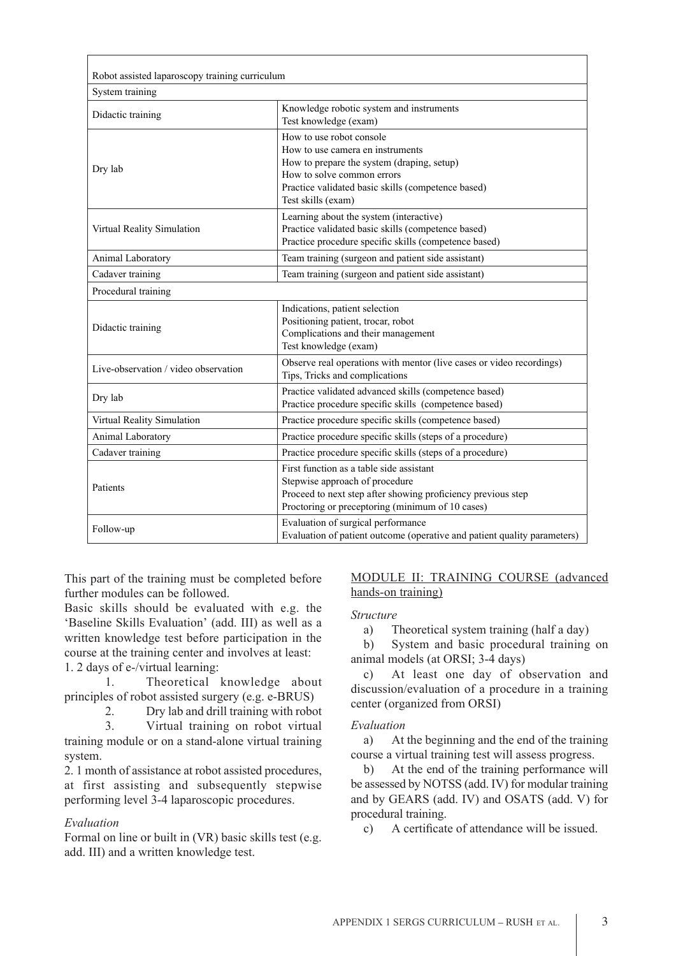| Robot assisted laparoscopy training curriculum |                                                                                                                                                                                                                      |
|------------------------------------------------|----------------------------------------------------------------------------------------------------------------------------------------------------------------------------------------------------------------------|
| System training                                |                                                                                                                                                                                                                      |
| Didactic training                              | Knowledge robotic system and instruments<br>Test knowledge (exam)                                                                                                                                                    |
| Dry lab                                        | How to use robot console<br>How to use camera en instruments<br>How to prepare the system (draping, setup)<br>How to solve common errors<br>Practice validated basic skills (competence based)<br>Test skills (exam) |
| Virtual Reality Simulation                     | Learning about the system (interactive)<br>Practice validated basic skills (competence based)<br>Practice procedure specific skills (competence based)                                                               |
| Animal Laboratory                              | Team training (surgeon and patient side assistant)                                                                                                                                                                   |
| Cadaver training                               | Team training (surgeon and patient side assistant)                                                                                                                                                                   |
| Procedural training                            |                                                                                                                                                                                                                      |
| Didactic training                              | Indications, patient selection<br>Positioning patient, trocar, robot<br>Complications and their management<br>Test knowledge (exam)                                                                                  |
| Live-observation / video observation           | Observe real operations with mentor (live cases or video recordings)<br>Tips, Tricks and complications                                                                                                               |
| Dry lab                                        | Practice validated advanced skills (competence based)<br>Practice procedure specific skills (competence based)                                                                                                       |
| Virtual Reality Simulation                     | Practice procedure specific skills (competence based)                                                                                                                                                                |
| Animal Laboratory                              | Practice procedure specific skills (steps of a procedure)                                                                                                                                                            |
| Cadaver training                               | Practice procedure specific skills (steps of a procedure)                                                                                                                                                            |
| Patients                                       | First function as a table side assistant<br>Stepwise approach of procedure<br>Proceed to next step after showing proficiency previous step<br>Proctoring or preceptoring (minimum of 10 cases)                       |
| Follow-up                                      | Evaluation of surgical performance<br>Evaluation of patient outcome (operative and patient quality parameters)                                                                                                       |

This part of the training must be completed before further modules can be followed.

Basic skills should be evaluated with e.g. the 'Baseline Skills Evaluation' (add. III) as well as a written knowledge test before participation in the course at the training center and involves at least:

1. 2 days of e-/virtual learning:

1. Theoretical knowledge about principles of robot assisted surgery (e.g. e-BRUS)

2. Dry lab and drill training with robot<br>3. Virtual training on robot virtual

3. Virtual training on robot virtual training module or on a stand-alone virtual training system.

2. 1 month of assistance at robot assisted procedures, at first assisting and subsequently stepwise performing level 3-4 laparoscopic procedures.

# *Evaluation*

Formal on line or built in (VR) basic skills test (e.g. add. III) and a written knowledge test.

### MODULE II: TRAINING COURSE (advanced hands-on training)

#### *Structure*

a) Theoretical system training (half a day)

b) System and basic procedural training on animal models (at ORSI; 3-4 days)

c) At least one day of observation and discussion/evaluation of a procedure in a training center (organized from ORSI)

#### *Evaluation*

a) At the beginning and the end of the training course a virtual training test will assess progress.

b) At the end of the training performance will be assessed by NOTSS (add. IV) for modular training and by GEARS (add. IV) and OSATS (add. V) for procedural training.

c) A certificate of attendance will be issued.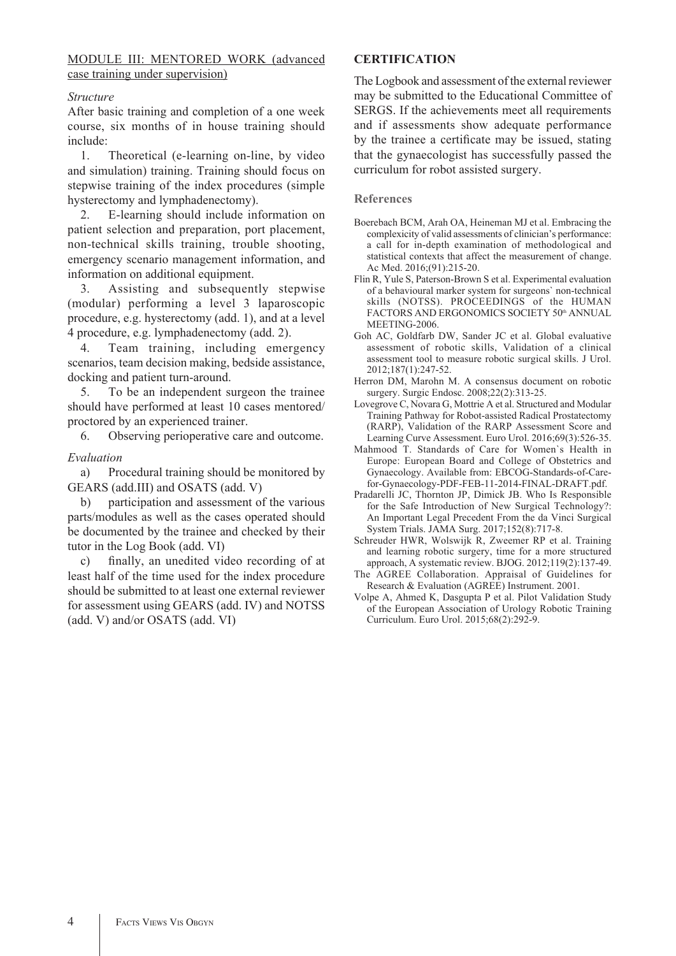# MODULE III: MENTORED WORK (advanced case training under supervision)

# *Structure*

After basic training and completion of a one week course, six months of in house training should include:

1. Theoretical (e-learning on-line, by video and simulation) training. Training should focus on stepwise training of the index procedures (simple hysterectomy and lymphadenectomy).

2. E-learning should include information on patient selection and preparation, port placement, non-technical skills training, trouble shooting, emergency scenario management information, and information on additional equipment.

3. Assisting and subsequently stepwise (modular) performing a level 3 laparoscopic procedure, e.g. hysterectomy (add. 1), and at a level 4 procedure, e.g. lymphadenectomy (add. 2).

4. Team training, including emergency scenarios, team decision making, bedside assistance, docking and patient turn-around.

5. To be an independent surgeon the trainee should have performed at least 10 cases mentored/ proctored by an experienced trainer.

6. Observing perioperative care and outcome.

# *Evaluation*

a) Procedural training should be monitored by GEARS (add.III) and OSATS (add. V)

b) participation and assessment of the various parts/modules as well as the cases operated should be documented by the trainee and checked by their tutor in the Log Book (add. VI)

c) finally, an unedited video recording of at least half of the time used for the index procedure should be submitted to at least one external reviewer for assessment using GEARS (add. IV) and NOTSS (add. V) and/or OSATS (add. VI)

# **CERTIFICATION**

The Logbook and assessment of the external reviewer may be submitted to the Educational Committee of SERGS. If the achievements meet all requirements and if assessments show adequate performance by the trainee a certificate may be issued, stating that the gynaecologist has successfully passed the curriculum for robot assisted surgery.

#### **References**

- Boerebach BCM, Arah OA, Heineman MJ et al. Embracing the complexicity of valid assessments of clinician's performance: a call for in-depth examination of methodological and statistical contexts that affect the measurement of change. Ac Med. 2016;(91):215-20.
- Flin R, Yule S, Paterson-Brown S et al. Experimental evaluation of a behavioural marker system for surgeons` non-technical skills (NOTSS). PROCEEDINGS of the HUMAN FACTORS AND ERGONOMICS SOCIETY 50th ANNUAL MEETING-2006.
- Goh AC, Goldfarb DW, Sander JC et al. Global evaluative assessment of robotic skills, Validation of a clinical assessment tool to measure robotic surgical skills. J Urol. 2012;187(1):247-52.
- Herron DM, Marohn M. A consensus document on robotic surgery. Surgic Endosc. 2008;22(2):313-25.
- Lovegrove C, Novara G, Mottrie A et al. Structured and Modular Training Pathway for Robot-assisted Radical Prostatectomy (RARP), Validation of the RARP Assessment Score and Learning Curve Assessment. Euro Urol. 2016;69(3):526-35.
- Mahmood T. Standards of Care for Women`s Health in Europe: European Board and College of Obstetrics and Gynaecology. Available from: EBCOG-Standards-of-Carefor-Gynaecology-PDF-FEB-11-2014-FINAL-DRAFT.pdf.
- Pradarelli JC, Thornton JP, Dimick JB. Who Is Responsible for the Safe Introduction of New Surgical Technology?: An Important Legal Precedent From the da Vinci Surgical System Trials. JAMA Surg. 2017;152(8):717-8.
- Schreuder HWR, Wolswijk R, Zweemer RP et al. Training and learning robotic surgery, time for a more structured approach, A systematic review. BJOG. 2012;119(2):137-49.
- The AGREE Collaboration. Appraisal of Guidelines for Research & Evaluation (AGREE) Instrument. 2001.
- Volpe A, Ahmed K, Dasgupta P et al. Pilot Validation Study of the European Association of Urology Robotic Training Curriculum. Euro Urol. 2015;68(2):292-9.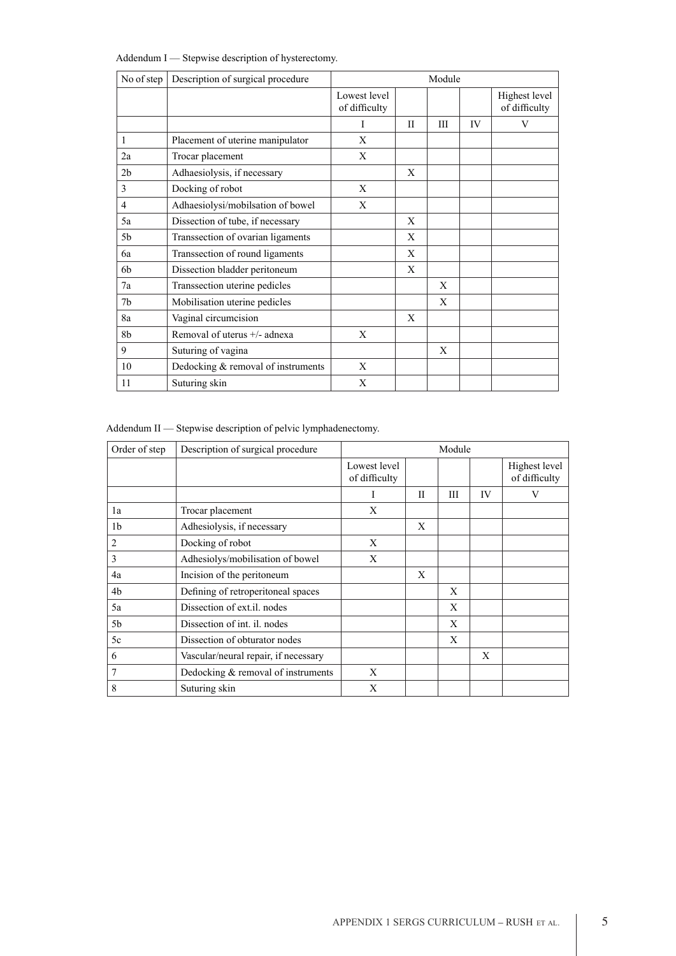| Addendum I — Stepwise description of hysterectomy. |  |  |  |  |
|----------------------------------------------------|--|--|--|--|
|----------------------------------------------------|--|--|--|--|

| No of step     | Description of surgical procedure  | Module                        |              |   |    |                                |
|----------------|------------------------------------|-------------------------------|--------------|---|----|--------------------------------|
|                |                                    | Lowest level<br>of difficulty |              |   |    | Highest level<br>of difficulty |
|                |                                    | L                             | $\mathbf{I}$ | Ш | IV | V                              |
| 1              | Placement of uterine manipulator   | X                             |              |   |    |                                |
| 2a             | Trocar placement                   | X                             |              |   |    |                                |
| 2 <sub>b</sub> | Adhaesiolysis, if necessary        |                               | X            |   |    |                                |
| 3              | Docking of robot                   | X                             |              |   |    |                                |
| $\overline{4}$ | Adhaesiolysi/mobilsation of bowel  | X                             |              |   |    |                                |
| 5a             | Dissection of tube, if necessary   |                               | X            |   |    |                                |
| 5b             | Transsection of ovarian ligaments  |                               | X            |   |    |                                |
| 6a             | Transsection of round ligaments    |                               | X            |   |    |                                |
| 6 <sub>b</sub> | Dissection bladder peritoneum      |                               | X            |   |    |                                |
| 7a             | Transsection uterine pedicles      |                               |              | X |    |                                |
| 7b             | Mobilisation uterine pedicles      |                               |              | X |    |                                |
| 8a             | Vaginal circumcision               |                               | X            |   |    |                                |
| 8b             | Removal of uterus +/- adnexa       | X                             |              |   |    |                                |
| 9              | Suturing of vagina                 |                               |              | X |    |                                |
| 10             | Dedocking & removal of instruments | X                             |              |   |    |                                |
| 11             | Suturing skin                      | X                             |              |   |    |                                |

Addendum II — Stepwise description of pelvic lymphadenectomy.

| Order of step  | Description of surgical procedure    | Module                        |             |   |    |                                |
|----------------|--------------------------------------|-------------------------------|-------------|---|----|--------------------------------|
|                |                                      | Lowest level<br>of difficulty |             |   |    | Highest level<br>of difficulty |
|                |                                      | I                             | $_{\rm II}$ | Ш | IV | V                              |
| 1a             | Trocar placement                     | X                             |             |   |    |                                |
| 1 <sub>b</sub> | Adhesiolysis, if necessary           |                               | X           |   |    |                                |
| 2              | Docking of robot                     | X                             |             |   |    |                                |
| 3              | Adhesiolys/mobilisation of bowel     | X                             |             |   |    |                                |
| 4a             | Incision of the peritoneum           |                               | X           |   |    |                                |
| 4b             | Defining of retroperitoneal spaces   |                               |             | X |    |                                |
| 5a             | Dissection of ext.il. nodes          |                               |             | X |    |                                |
| 5 <sub>b</sub> | Dissection of int. il. nodes         |                               |             | X |    |                                |
| 5c             | Dissection of obturator nodes        |                               |             | X |    |                                |
| 6              | Vascular/neural repair, if necessary |                               |             |   | X  |                                |
| 7              | Dedocking & removal of instruments   | X                             |             |   |    |                                |
| 8              | Suturing skin                        | X                             |             |   |    |                                |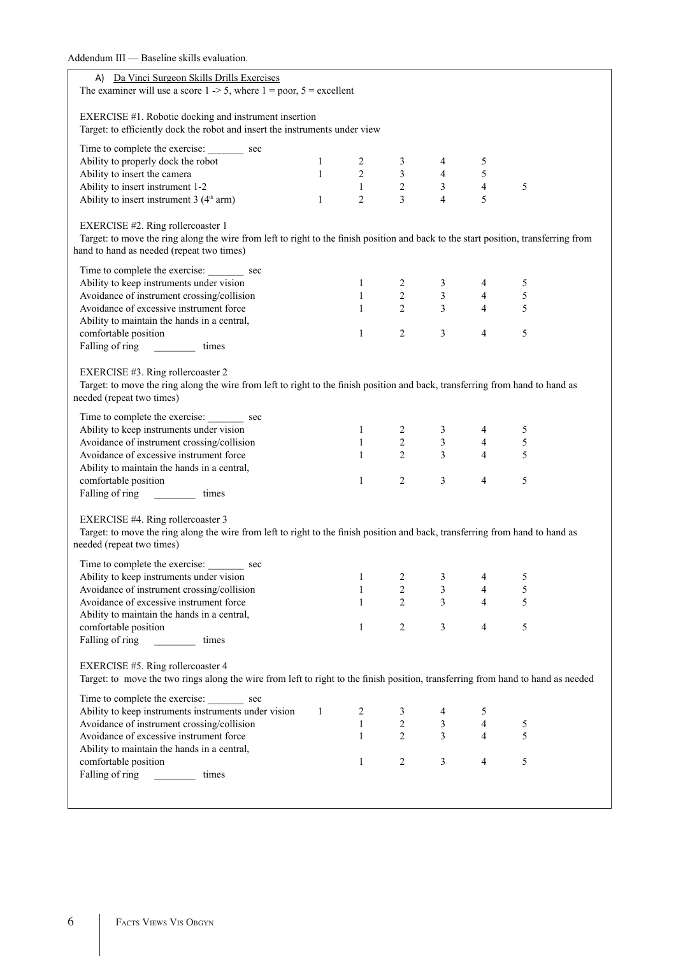| Addendum III — Baseline skills evaluation.                                                                                                                 |              |                                                                                                                                    |                |                                                                                                             |                |            |  |
|------------------------------------------------------------------------------------------------------------------------------------------------------------|--------------|------------------------------------------------------------------------------------------------------------------------------------|----------------|-------------------------------------------------------------------------------------------------------------|----------------|------------|--|
| A) Da Vinci Surgeon Skills Drills Exercises                                                                                                                |              |                                                                                                                                    |                |                                                                                                             |                |            |  |
| The examiner will use a score $1 - 5$ , where $1 = poor$ , $5 = excellent$                                                                                 |              |                                                                                                                                    |                |                                                                                                             |                |            |  |
| EXERCISE #1. Robotic docking and instrument insertion                                                                                                      |              |                                                                                                                                    |                |                                                                                                             |                |            |  |
| Target: to efficiently dock the robot and insert the instruments under view                                                                                |              |                                                                                                                                    |                |                                                                                                             |                |            |  |
| Time to complete the exercise: _________ sec                                                                                                               |              |                                                                                                                                    |                |                                                                                                             |                |            |  |
| Ability to properly dock the robot                                                                                                                         |              | $\begin{array}{ccccccccc} & 1 & & 2 & & 3 & & 4 \\ 1 & & 2 & & 3 & & 4 \\ & & 1 & & 2 & & 3 \\ 1 & & 2 & & 3 & & 4 \\ \end{array}$ |                |                                                                                                             | 5              |            |  |
| Ability to insert the camera                                                                                                                               |              |                                                                                                                                    |                |                                                                                                             | $\sqrt{5}$     |            |  |
| Ability to insert instrument 1-2                                                                                                                           |              |                                                                                                                                    |                |                                                                                                             | $\overline{4}$ | 5          |  |
| Ability to insert instrument $3(4th arm)$                                                                                                                  |              |                                                                                                                                    |                |                                                                                                             | 5              |            |  |
| EXERCISE #2. Ring rollercoaster 1                                                                                                                          |              |                                                                                                                                    |                |                                                                                                             |                |            |  |
| Target: to move the ring along the wire from left to right to the finish position and back to the start position, transferring from                        |              |                                                                                                                                    |                |                                                                                                             |                |            |  |
| hand to hand as needed (repeat two times)                                                                                                                  |              |                                                                                                                                    |                |                                                                                                             |                |            |  |
| Time to complete the exercise: __________ sec                                                                                                              |              |                                                                                                                                    |                |                                                                                                             |                |            |  |
| Ability to keep instruments under vision                                                                                                                   |              |                                                                                                                                    |                |                                                                                                             |                | 5          |  |
| Avoidance of instrument crossing/collision                                                                                                                 |              |                                                                                                                                    |                |                                                                                                             |                | $\sqrt{5}$ |  |
| Avoidance of excessive instrument force                                                                                                                    |              |                                                                                                                                    |                | $\begin{array}{ccccccccc} 1 & & 2 & & 3 & & 4 \\ 1 & & 2 & & 3 & & 4 \\ 1 & & 2 & & 3 & & 4 \\ \end{array}$ |                | 5          |  |
| Ability to maintain the hands in a central,                                                                                                                |              |                                                                                                                                    |                |                                                                                                             |                |            |  |
| comfortable position                                                                                                                                       |              | $\mathbf{1}$                                                                                                                       | $\overline{2}$ | $\mathfrak{Z}$                                                                                              | $\overline{4}$ | 5          |  |
|                                                                                                                                                            |              |                                                                                                                                    |                |                                                                                                             |                |            |  |
|                                                                                                                                                            |              |                                                                                                                                    |                |                                                                                                             |                |            |  |
| EXERCISE #3. Ring rollercoaster 2                                                                                                                          |              |                                                                                                                                    |                |                                                                                                             |                |            |  |
| Target: to move the ring along the wire from left to right to the finish position and back, transferring from hand to hand as<br>needed (repeat two times) |              |                                                                                                                                    |                |                                                                                                             |                |            |  |
|                                                                                                                                                            |              |                                                                                                                                    |                |                                                                                                             |                |            |  |
| Time to complete the exercise: _________ sec                                                                                                               |              |                                                                                                                                    |                |                                                                                                             |                |            |  |
| Ability to keep instruments under vision                                                                                                                   |              |                                                                                                                                    |                |                                                                                                             |                | 5          |  |
| Avoidance of instrument crossing/collision                                                                                                                 |              |                                                                                                                                    |                | $\begin{array}{ccccccccc} 1 & & 2 & & 3 & & 4 \\ 1 & & 2 & & 3 & & 4 \\ 1 & & 2 & & 3 & & 4 \\ \end{array}$ |                | $\sqrt{5}$ |  |
| Avoidance of excessive instrument force                                                                                                                    |              |                                                                                                                                    |                |                                                                                                             |                | 5          |  |
| Ability to maintain the hands in a central,                                                                                                                |              |                                                                                                                                    |                |                                                                                                             |                |            |  |
| comfortable position                                                                                                                                       |              | $1 \qquad \qquad$                                                                                                                  | $\overline{2}$ | $\overline{3}$                                                                                              | $\overline{4}$ | 5          |  |
|                                                                                                                                                            |              |                                                                                                                                    |                |                                                                                                             |                |            |  |
| EXERCISE #4. Ring rollercoaster 3                                                                                                                          |              |                                                                                                                                    |                |                                                                                                             |                |            |  |
| Target: to move the ring along the wire from left to right to the finish position and back, transferring from hand to hand as                              |              |                                                                                                                                    |                |                                                                                                             |                |            |  |
| needed (repeat two times)                                                                                                                                  |              |                                                                                                                                    |                |                                                                                                             |                |            |  |
| Time to complete the exercise:<br>sec                                                                                                                      |              |                                                                                                                                    |                |                                                                                                             |                |            |  |
| Ability to keep instruments under vision                                                                                                                   |              | 1                                                                                                                                  | 2              | 3                                                                                                           | 4              | 5          |  |
| Avoidance of instrument crossing/collision                                                                                                                 |              | $\mathbf{1}$                                                                                                                       | $\overline{c}$ | $\overline{\mathbf{3}}$                                                                                     | $\overline{4}$ | 5          |  |
| Avoidance of excessive instrument force                                                                                                                    |              | $\mathbf{1}$                                                                                                                       | $\overline{2}$ | $\overline{3}$                                                                                              | $\overline{4}$ | 5          |  |
| Ability to maintain the hands in a central,                                                                                                                |              |                                                                                                                                    |                |                                                                                                             |                |            |  |
| comfortable position                                                                                                                                       |              | $\mathbf{1}$                                                                                                                       | $\overline{c}$ | 3                                                                                                           | $\overline{4}$ | 5          |  |
| Falling of ring<br>times                                                                                                                                   |              |                                                                                                                                    |                |                                                                                                             |                |            |  |
|                                                                                                                                                            |              |                                                                                                                                    |                |                                                                                                             |                |            |  |
| EXERCISE #5. Ring rollercoaster 4                                                                                                                          |              |                                                                                                                                    |                |                                                                                                             |                |            |  |
| Target: to move the two rings along the wire from left to right to the finish position, transferring from hand to hand as needed                           |              |                                                                                                                                    |                |                                                                                                             |                |            |  |
| Time to complete the exercise: _________ sec                                                                                                               |              |                                                                                                                                    |                |                                                                                                             |                |            |  |
| Ability to keep instruments instruments under vision                                                                                                       | $\mathbf{1}$ | $\overline{2}$                                                                                                                     | $\frac{3}{2}$  |                                                                                                             | 5              |            |  |
| Avoidance of instrument crossing/collision                                                                                                                 |              | $\frac{2}{1}$                                                                                                                      |                | $\mathfrak{Z}$                                                                                              | $\overline{4}$ | 5          |  |
| Avoidance of excessive instrument force                                                                                                                    |              | $\mathbf{1}$                                                                                                                       | $\overline{2}$ | $\overline{\mathbf{3}}$                                                                                     | $\overline{4}$ | 5          |  |
| Ability to maintain the hands in a central,                                                                                                                |              |                                                                                                                                    |                |                                                                                                             |                |            |  |
| comfortable position                                                                                                                                       |              | $\mathbf{1}$                                                                                                                       | $\overline{2}$ | $\mathfrak{Z}$                                                                                              | $\overline{4}$ | 5          |  |
| Falling of ring<br>times                                                                                                                                   |              |                                                                                                                                    |                |                                                                                                             |                |            |  |
|                                                                                                                                                            |              |                                                                                                                                    |                |                                                                                                             |                |            |  |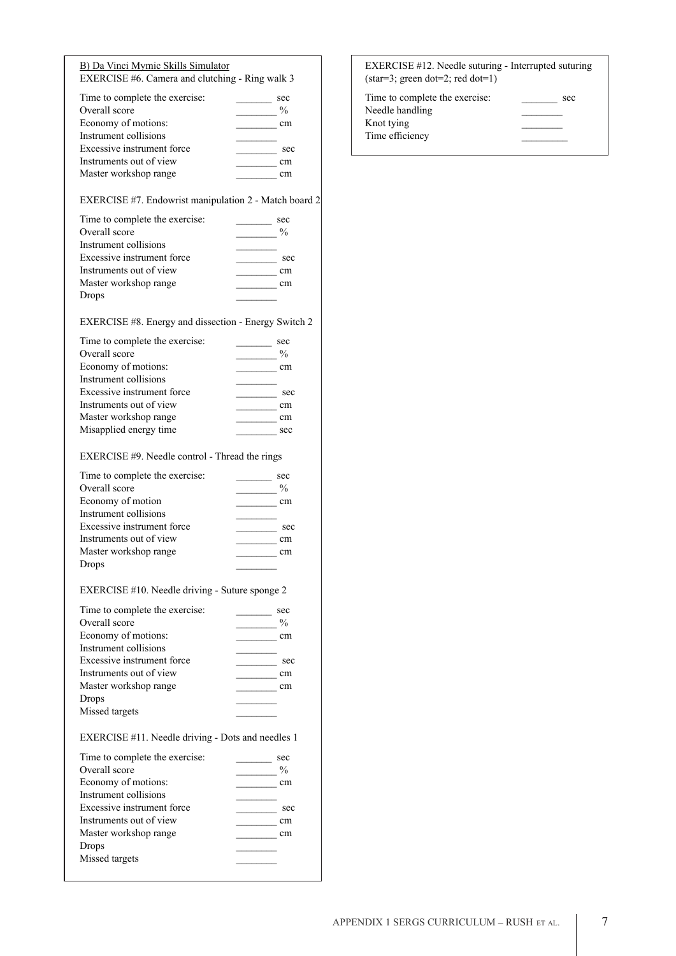|  | B) Da Vinci Mymic Skills Simulator              |  |
|--|-------------------------------------------------|--|
|  | EXERCISE #6. Camera and clutching - Ring walk 3 |  |

| Time to complete the exercise: | sec           |
|--------------------------------|---------------|
| Overall score                  | $\frac{0}{0}$ |
|                                |               |
| Economy of motions:            | cm            |
| Instrument collisions          |               |
| Excessive instrument force     | sec           |
| Instruments out of view        | cm            |
| Master workshop range          |               |

EXERCISE #7. Endowrist manipulation 2 - Match board 2

| Time to complete the exercise:<br>Overall score | sec<br>$\frac{0}{0}$ |
|-------------------------------------------------|----------------------|
| Instrument collisions                           |                      |
| Excessive instrument force                      | sec                  |
| Instruments out of view                         | cm                   |
| Master workshop range                           | cm                   |
| Drops                                           |                      |

#### EXERCISE #8. Energy and dissection - Energy Switch 2

| Time to complete the exercise: | sec           |
|--------------------------------|---------------|
| Overall score                  | $\frac{0}{0}$ |
| Economy of motions:            | cm            |
| Instrument collisions          |               |
| Excessive instrument force     | sec           |
| Instruments out of view        | cm            |
| Master workshop range          | cm            |
| Misapplied energy time         | sec           |
|                                |               |

### EXERCISE #9. Needle control - Thread the rings

| Time to complete the exercise: | sec           |
|--------------------------------|---------------|
| Overall score                  | $\frac{0}{0}$ |
| Economy of motion              | cm            |
| Instrument collisions          |               |
| Excessive instrument force     | sec           |
| Instruments out of view        | cm            |
| Master workshop range          | cm            |
| Drops                          |               |

### EXERCISE #10. Needle driving - Suture sponge 2

| Time to complete the exercise: | sec |
|--------------------------------|-----|
| Overall score                  | %   |
| Economy of motions:            | cm  |
| Instrument collisions          |     |
| Excessive instrument force     | sec |
| Instruments out of view        | cm  |
| Master workshop range          | cm  |
| <b>Drops</b>                   |     |
| Missed targets                 |     |

### EXERCISE #11. Needle driving - Dots and needles 1

| Time to complete the exercise: | sec           |
|--------------------------------|---------------|
| Overall score                  | $\frac{0}{0}$ |
| Economy of motions:            | cm            |
| Instrument collisions          |               |
| Excessive instrument force     | sec           |
| Instruments out of view        | cm            |
| Master workshop range          | cm            |
| Drops                          |               |
| Missed targets                 |               |
|                                |               |

| EXERCISE #12. Needle suturing - Interrupted suturing |     |  |  |
|------------------------------------------------------|-----|--|--|
| $\:star=3$ ; green dot=2; red dot=1)                 |     |  |  |
| Time to complete the exercise:                       | sec |  |  |

| THIS to complete the exercise. | تاناك |
|--------------------------------|-------|
| Needle handling                |       |
| Knot tying                     |       |
| Time efficiency                |       |
|                                |       |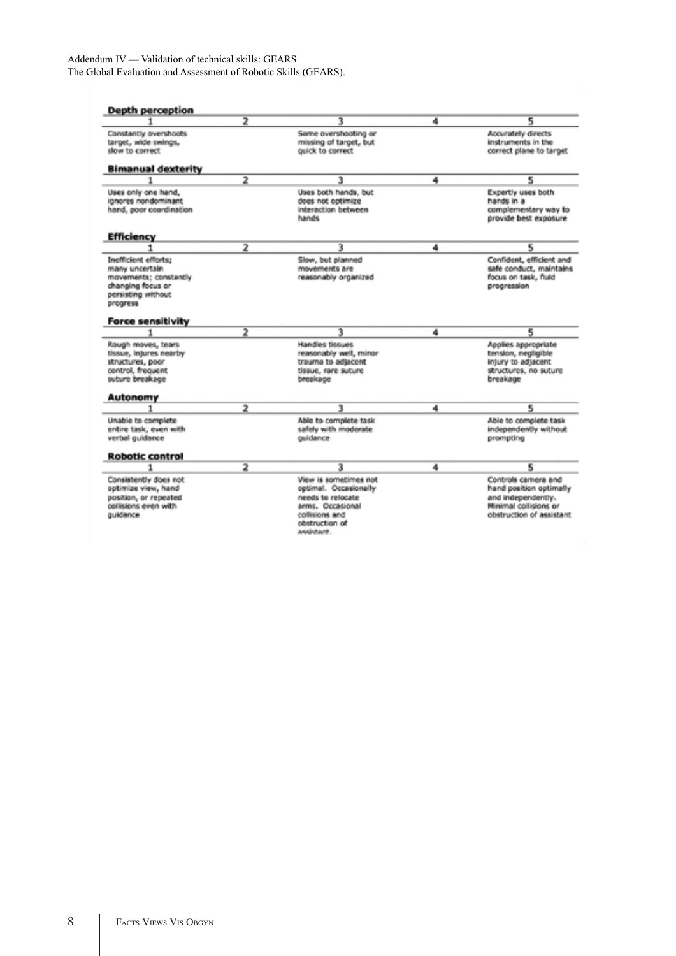Addendum IV — Validation of technical skills: GEARS The Global Evaluation and Assessment of Robotic Skills (GEARS).

|                                                                                                                        | $\overline{2}$ | з                                                                                                  | 4 | 5                                                                                                     |
|------------------------------------------------------------------------------------------------------------------------|----------------|----------------------------------------------------------------------------------------------------|---|-------------------------------------------------------------------------------------------------------|
| Constantly overshoots<br>target, wide swings,<br>slow to correct                                                       |                | Some overshooting or<br>missing of target, but<br>quick to correct                                 |   | Accurately directs<br>instruments in the<br>correct plane to target                                   |
| <b>Bimanual dexterity</b>                                                                                              |                |                                                                                                    |   |                                                                                                       |
|                                                                                                                        | $\overline{2}$ | 3                                                                                                  | 4 | 5                                                                                                     |
| Uses only one hand,<br>ignores nondominant<br>hand, poor coordination                                                  |                | Uses both hands, but<br>does not optimize<br>interaction between<br>hands                          |   | Expertly uses both<br>hands in a<br>complementary way to<br>provide best exposure                     |
| <b>Efficiency</b>                                                                                                      |                |                                                                                                    |   |                                                                                                       |
|                                                                                                                        | 2              | з                                                                                                  | 4 | 5                                                                                                     |
| Inefficient efforts:<br>many uncertain<br>movements; constantly<br>changing focus or<br>persisting without<br>progress |                | Slow, but planned<br>movements are<br>reasonably organized                                         |   | Confident, efficient and<br>safe conduct, maintains<br>focus on task, fluid<br>progression            |
| <b>Force sensitivity</b>                                                                                               |                |                                                                                                    |   |                                                                                                       |
|                                                                                                                        | $\overline{2}$ | 3                                                                                                  | 4 | 5                                                                                                     |
| Rough moves, tears<br>tissue, injures nearby<br>structures, poor<br>control, frequent<br>suture breakage               |                | Handles tissues<br>reasonably well, minor<br>trauma to adjacent<br>tissue, rare suture<br>breakage |   | Apolies appropriate<br>tension, negligible<br>injury to adjacent<br>structures, no suture<br>breakage |
| Autonomy                                                                                                               |                |                                                                                                    |   |                                                                                                       |
|                                                                                                                        | $\overline{2}$ | ъ                                                                                                  | 4 | ę                                                                                                     |
| Unable to complete<br>entire task, even with<br>verbal guidance                                                        |                | Able to complete task<br>safely with moderate<br>ouidance                                          |   | Able to complete task<br>independently without<br>prompting                                           |
| <b>Robotic control</b>                                                                                                 |                |                                                                                                    |   |                                                                                                       |
|                                                                                                                        | $\overline{2}$ | з                                                                                                  | 4 | 5                                                                                                     |
| Consistently does not<br>optimize view, hand<br>position, or repeated<br>collisions even with                          |                | View is sometimes not<br>optimal. Occasionally<br>needs to relocate<br>arms, Occasional            |   | Controls camera and<br>hand position optimally<br>and independently.<br>Minimal collisions or         |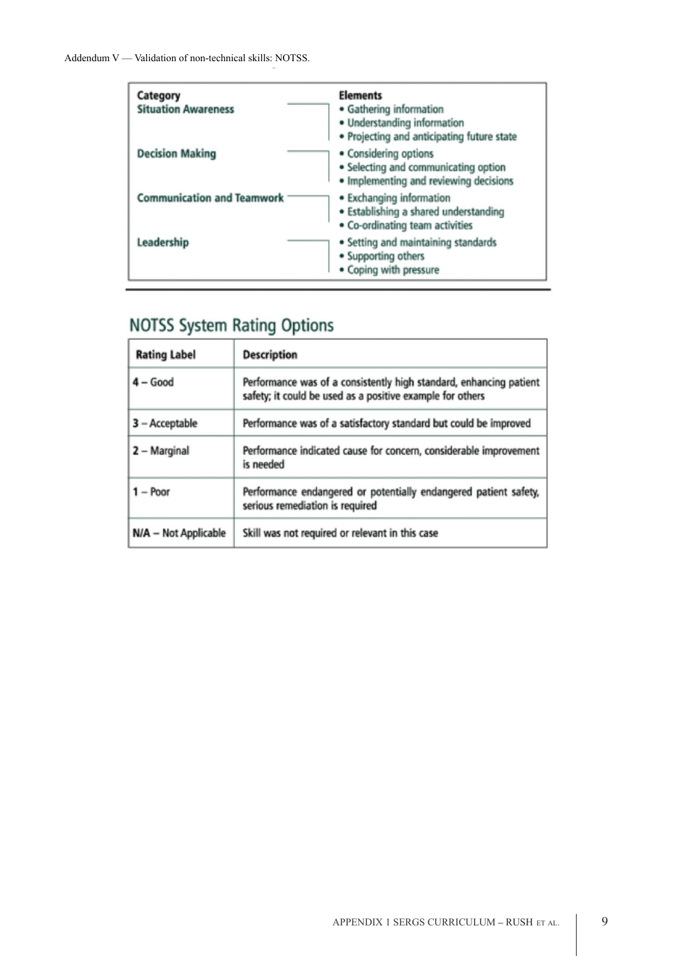| Category<br><b>Situation Awareness</b> | <b>Elements</b><br>• Gathering information<br>• Understanding information<br>• Projecting and anticipating future state |
|----------------------------------------|-------------------------------------------------------------------------------------------------------------------------|
| <b>Decision Making</b>                 | • Considering options<br>• Selecting and communicating option<br>• Implementing and reviewing decisions                 |
| <b>Communication and Teamwork</b>      | • Exchanging information<br>· Establishing a shared understanding<br>• Co-ordinating team activities                    |
| Leadership                             | • Setting and maintaining standards<br>• Supporting others<br>• Coping with pressure                                    |

# **NOTSS System Rating Options**

| <b>Rating Label</b>  | <b>Description</b>                                                                                                              |
|----------------------|---------------------------------------------------------------------------------------------------------------------------------|
| $4 - Good$           | Performance was of a consistently high standard, enhancing patient<br>safety; it could be used as a positive example for others |
| 3 - Acceptable       | Performance was of a satisfactory standard but could be improved                                                                |
| 2 - Marginal         | Performance indicated cause for concern, considerable improvement<br>is needed                                                  |
| $1 -$ Poor           | Performance endangered or potentially endangered patient safety,<br>serious remediation is required                             |
| N/A - Not Applicable | Skill was not required or relevant in this case                                                                                 |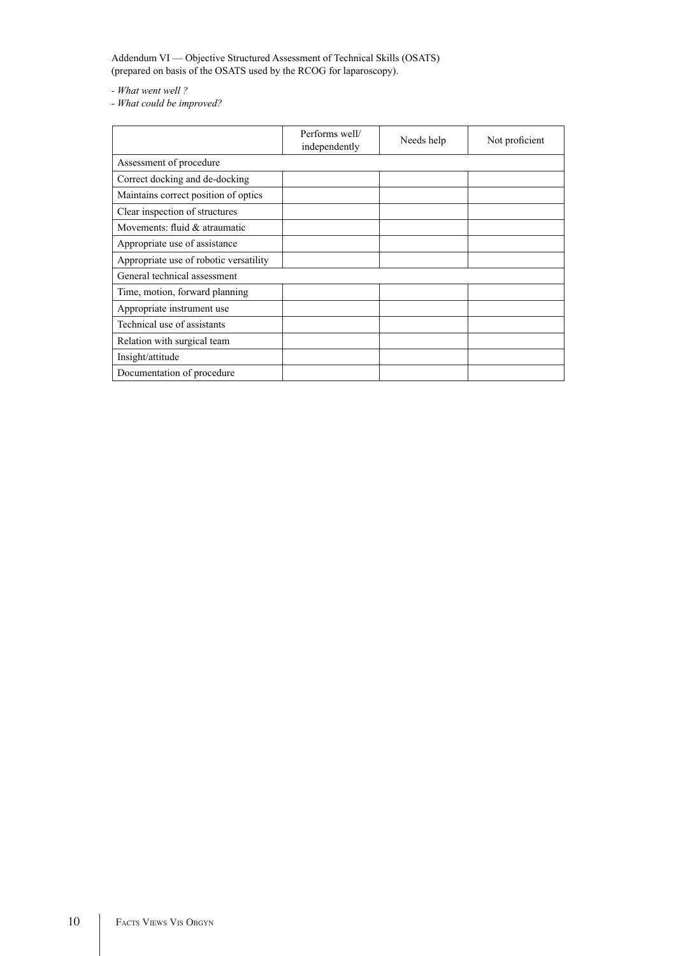Addendum VI — Objective Structured Assessment of Technical Skills (OSATS) (prepared on basis of the OSATS used by the RCOG for laparoscopy).

*- What went well ?*

*- What could be improved?*

|                                        | Performs well/<br>independently | Needs help | Not proficient |
|----------------------------------------|---------------------------------|------------|----------------|
| Assessment of procedure                |                                 |            |                |
| Correct docking and de-docking         |                                 |            |                |
| Maintains correct position of optics   |                                 |            |                |
| Clear inspection of structures         |                                 |            |                |
| Movements: fluid & atraumatic          |                                 |            |                |
| Appropriate use of assistance          |                                 |            |                |
| Appropriate use of robotic versatility |                                 |            |                |
| General technical assessment           |                                 |            |                |
| Time, motion, forward planning         |                                 |            |                |
| Appropriate instrument use             |                                 |            |                |
| Technical use of assistants            |                                 |            |                |
| Relation with surgical team            |                                 |            |                |
| Insight/attitude                       |                                 |            |                |
| Documentation of procedure             |                                 |            |                |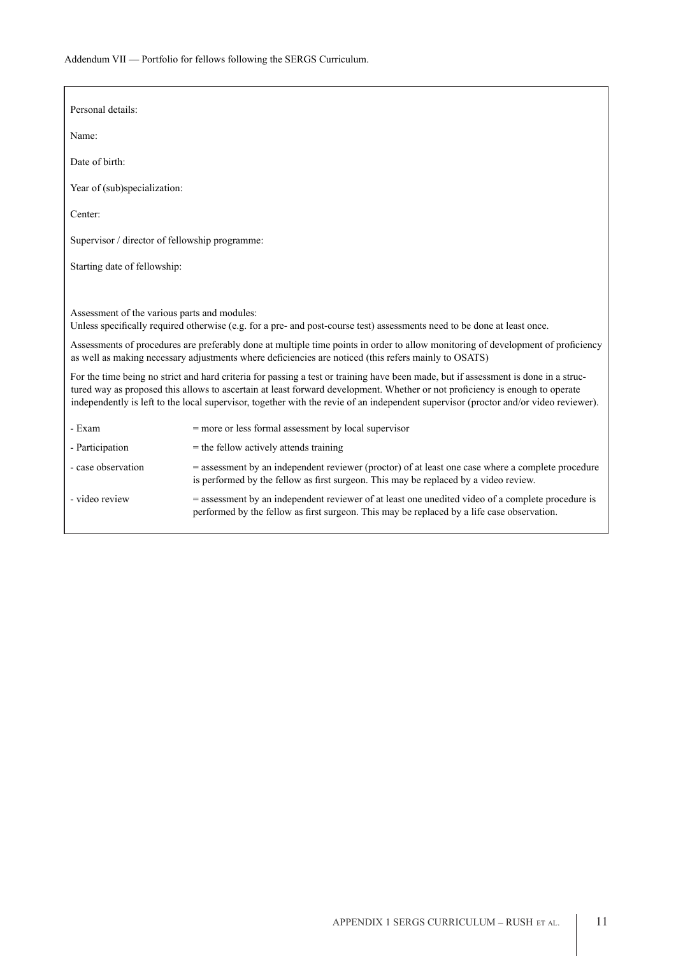Addendum VII — Portfolio for fellows following the SERGS Curriculum.

| Personal details:                              |                                                                                                                                                                                                                                                                                                                                                                                                             |
|------------------------------------------------|-------------------------------------------------------------------------------------------------------------------------------------------------------------------------------------------------------------------------------------------------------------------------------------------------------------------------------------------------------------------------------------------------------------|
| Name:                                          |                                                                                                                                                                                                                                                                                                                                                                                                             |
| Date of birth:                                 |                                                                                                                                                                                                                                                                                                                                                                                                             |
| Year of (sub)specialization:                   |                                                                                                                                                                                                                                                                                                                                                                                                             |
| Center:                                        |                                                                                                                                                                                                                                                                                                                                                                                                             |
| Supervisor / director of fellowship programme: |                                                                                                                                                                                                                                                                                                                                                                                                             |
| Starting date of fellowship:                   |                                                                                                                                                                                                                                                                                                                                                                                                             |
|                                                |                                                                                                                                                                                                                                                                                                                                                                                                             |
| Assessment of the various parts and modules:   | Unless specifically required otherwise (e.g. for a pre- and post-course test) assessments need to be done at least once.                                                                                                                                                                                                                                                                                    |
|                                                | Assessments of procedures are preferably done at multiple time points in order to allow monitoring of development of proficiency<br>as well as making necessary adjustments where deficiencies are noticed (this refers mainly to OSATS)                                                                                                                                                                    |
|                                                | For the time being no strict and hard criteria for passing a test or training have been made, but if assessment is done in a struc-<br>tured way as proposed this allows to ascertain at least forward development. Whether or not proficiency is enough to operate<br>independently is left to the local supervisor, together with the revie of an independent supervisor (proctor and/or video reviewer). |
| - Exam                                         | $=$ more or less formal assessment by local supervisor                                                                                                                                                                                                                                                                                                                                                      |
| - Participation                                | $=$ the fellow actively attends training                                                                                                                                                                                                                                                                                                                                                                    |
| - case observation                             | = assessment by an independent reviewer (proctor) of at least one case where a complete procedure<br>is performed by the fellow as first surgeon. This may be replaced by a video review.                                                                                                                                                                                                                   |
| - video review                                 | = assessment by an independent reviewer of at least one unedited video of a complete procedure is<br>performed by the fellow as first surgeon. This may be replaced by a life case observation.                                                                                                                                                                                                             |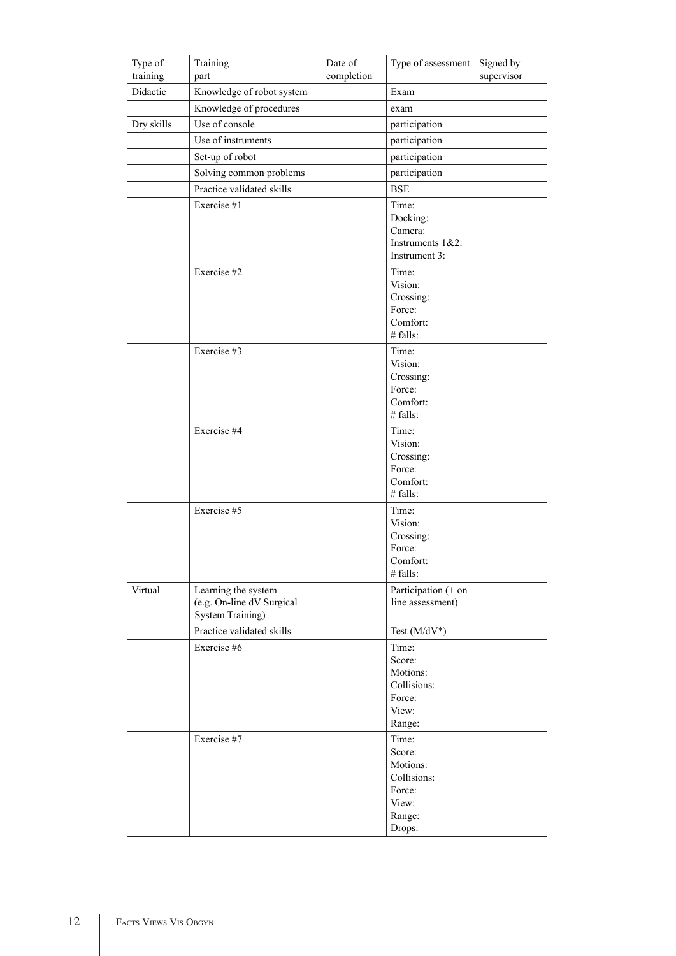| Type of<br>training | Training<br>part                                     | Date of<br>completion | Type of assessment   | Signed by<br>supervisor |
|---------------------|------------------------------------------------------|-----------------------|----------------------|-------------------------|
| Didactic            | Knowledge of robot system                            |                       | Exam                 |                         |
|                     | Knowledge of procedures                              |                       | exam                 |                         |
| Dry skills          | Use of console                                       |                       | participation        |                         |
|                     | Use of instruments                                   |                       | participation        |                         |
|                     | Set-up of robot                                      |                       | participation        |                         |
|                     | Solving common problems                              |                       | participation        |                         |
|                     | Practice validated skills                            |                       | <b>BSE</b>           |                         |
|                     |                                                      |                       |                      |                         |
|                     | Exercise #1                                          |                       | Time:<br>Docking:    |                         |
|                     |                                                      |                       | Camera:              |                         |
|                     |                                                      |                       | Instruments $1&2$ :  |                         |
|                     |                                                      |                       | Instrument 3:        |                         |
|                     | Exercise #2                                          |                       | Time:                |                         |
|                     |                                                      |                       | Vision:              |                         |
|                     |                                                      |                       | Crossing:<br>Force:  |                         |
|                     |                                                      |                       | Comfort:             |                         |
|                     |                                                      |                       | # falls:             |                         |
|                     | Exercise #3                                          |                       | Time:                |                         |
|                     |                                                      |                       | Vision:              |                         |
|                     |                                                      |                       | Crossing:            |                         |
|                     |                                                      |                       | Force:               |                         |
|                     |                                                      |                       | Comfort:<br># falls: |                         |
|                     | Exercise #4                                          |                       | Time:                |                         |
|                     |                                                      |                       | Vision:              |                         |
|                     |                                                      |                       | Crossing:            |                         |
|                     |                                                      |                       | Force:               |                         |
|                     |                                                      |                       | Comfort:             |                         |
|                     |                                                      |                       | $#$ falls:           |                         |
|                     | Exercise #5                                          |                       | Time:<br>Vision:     |                         |
|                     |                                                      |                       | Crossing:            |                         |
|                     |                                                      |                       | Force:               |                         |
|                     |                                                      |                       | Comfort:             |                         |
|                     |                                                      |                       | $#$ falls:           |                         |
| Virtual             | Learning the system                                  |                       | Participation (+ on  |                         |
|                     | (e.g. On-line dV Surgical<br><b>System Training)</b> |                       | line assessment)     |                         |
|                     | Practice validated skills                            |                       | Test $(M/dV^*)$      |                         |
|                     | Exercise #6                                          |                       | Time:                |                         |
|                     |                                                      |                       | Score:               |                         |
|                     |                                                      |                       | Motions:             |                         |
|                     |                                                      |                       | Collisions:          |                         |
|                     |                                                      |                       | Force:               |                         |
|                     |                                                      |                       | View:                |                         |
|                     |                                                      |                       | Range:               |                         |
|                     | Exercise #7                                          |                       | Time:<br>Score:      |                         |
|                     |                                                      |                       | Motions:             |                         |
|                     |                                                      |                       | Collisions:          |                         |
|                     |                                                      |                       | Force:               |                         |
|                     |                                                      |                       | View:                |                         |
|                     |                                                      |                       | Range:               |                         |
|                     |                                                      |                       | Drops:               |                         |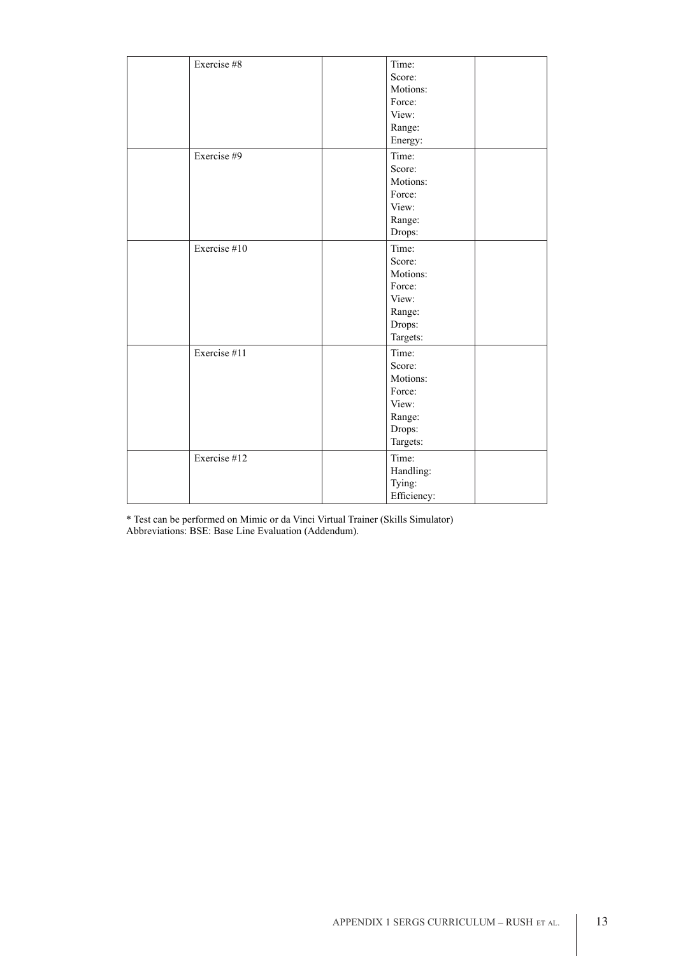| Exercise #8  | Time:<br>Score:<br>Motions:<br>Force:<br>View:<br>Range:<br>Energy:            |  |
|--------------|--------------------------------------------------------------------------------|--|
| Exercise #9  | Time:<br>Score:<br>Motions:<br>Force:<br>View:<br>Range:<br>Drops:             |  |
| Exercise #10 | Time:<br>Score:<br>Motions:<br>Force:<br>View:<br>Range:<br>Drops:<br>Targets: |  |
| Exercise #11 | Time:<br>Score:<br>Motions:<br>Force:<br>View:<br>Range:<br>Drops:<br>Targets: |  |
| Exercise #12 | Time:<br>Handling:<br>Tying:<br>Efficiency:                                    |  |

\* Test can be performed on Mimic or da Vinci Virtual Trainer (Skills Simulator) Abbreviations: BSE: Base Line Evaluation (Addendum).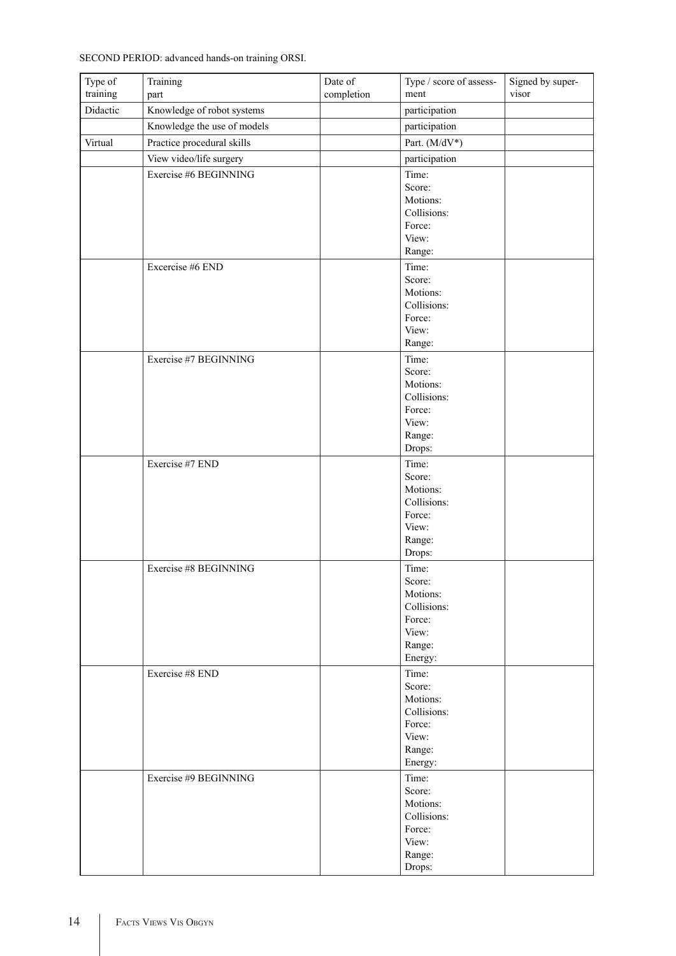SECOND PERIOD: advanced hands-on training ORSI.

| Type of<br>training | Training<br>part            | Date of<br>completion | Type / score of assess-<br>ment | Signed by super-<br>visor |
|---------------------|-----------------------------|-----------------------|---------------------------------|---------------------------|
| Didactic            | Knowledge of robot systems  |                       | participation                   |                           |
|                     | Knowledge the use of models |                       | participation                   |                           |
| Virtual             | Practice procedural skills  |                       | Part. (M/dV*)                   |                           |
|                     |                             |                       |                                 |                           |
|                     | View video/life surgery     |                       | participation                   |                           |
|                     | Exercise #6 BEGINNING       |                       | Time:                           |                           |
|                     |                             |                       | Score:<br>Motions:              |                           |
|                     |                             |                       | Collisions:                     |                           |
|                     |                             |                       | Force:                          |                           |
|                     |                             |                       | View:                           |                           |
|                     |                             |                       | Range:                          |                           |
|                     | Excercise #6 END            |                       | Time:                           |                           |
|                     |                             |                       | Score:                          |                           |
|                     |                             |                       | Motions:                        |                           |
|                     |                             |                       | Collisions:<br>Force:           |                           |
|                     |                             |                       | View:                           |                           |
|                     |                             |                       | Range:                          |                           |
|                     | Exercise #7 BEGINNING       |                       | Time:                           |                           |
|                     |                             |                       | Score:                          |                           |
|                     |                             |                       | Motions:                        |                           |
|                     |                             |                       | Collisions:                     |                           |
|                     |                             |                       | Force:                          |                           |
|                     |                             |                       | View:                           |                           |
|                     |                             |                       | Range:<br>Drops:                |                           |
|                     | Exercise #7 END             |                       | Time:                           |                           |
|                     |                             |                       | Score:                          |                           |
|                     |                             |                       | Motions:                        |                           |
|                     |                             |                       | Collisions:                     |                           |
|                     |                             |                       | Force:                          |                           |
|                     |                             |                       | View:                           |                           |
|                     |                             |                       | Range:                          |                           |
|                     |                             |                       | Drops:                          |                           |
|                     | Exercise #8 BEGINNING       |                       | Time:<br>Score:                 |                           |
|                     |                             |                       | Motions:                        |                           |
|                     |                             |                       | Collisions:                     |                           |
|                     |                             |                       | Force:                          |                           |
|                     |                             |                       | View:                           |                           |
|                     |                             |                       | Range:                          |                           |
|                     |                             |                       | Energy:                         |                           |
|                     | Exercise #8 END             |                       | Time:<br>Score:                 |                           |
|                     |                             |                       | Motions:                        |                           |
|                     |                             |                       | Collisions:                     |                           |
|                     |                             |                       | Force:                          |                           |
|                     |                             |                       | View:                           |                           |
|                     |                             |                       | Range:                          |                           |
|                     |                             |                       | Energy:                         |                           |
|                     | Exercise #9 BEGINNING       |                       | Time:<br>Score:                 |                           |
|                     |                             |                       | Motions:                        |                           |
|                     |                             |                       | Collisions:                     |                           |
|                     |                             |                       | Force:                          |                           |
|                     |                             |                       | View:                           |                           |
|                     |                             |                       | Range:                          |                           |
|                     |                             |                       | Drops:                          |                           |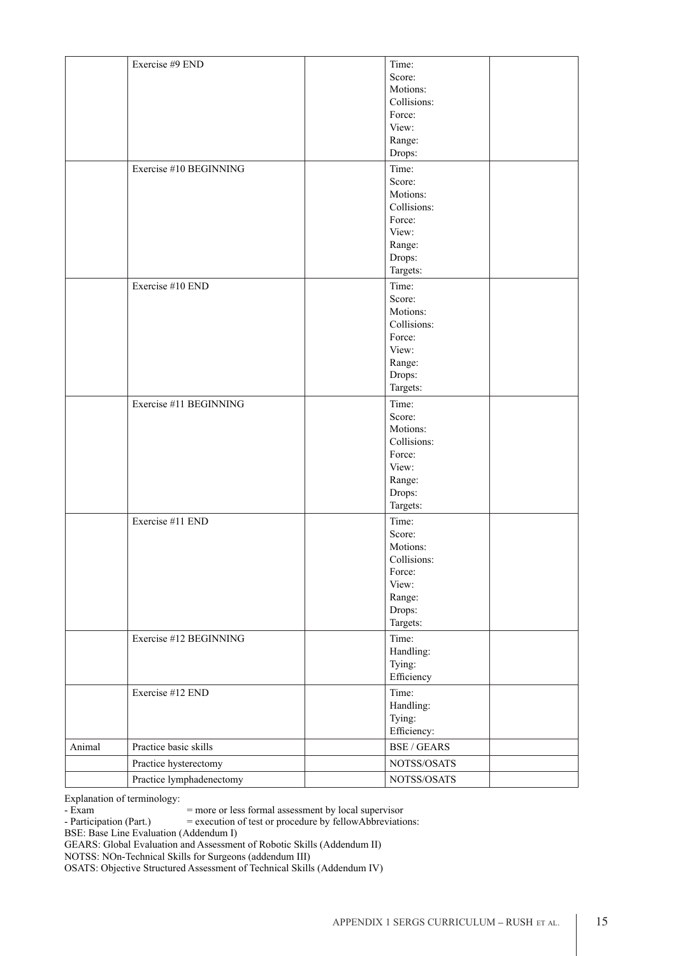|        | Exercise #9 END          | Time:              |  |
|--------|--------------------------|--------------------|--|
|        |                          | Score:             |  |
|        |                          | Motions:           |  |
|        |                          | Collisions:        |  |
|        |                          | Force:             |  |
|        |                          |                    |  |
|        |                          | View:              |  |
|        |                          | Range:             |  |
|        |                          | Drops:             |  |
|        | Exercise #10 BEGINNING   | Time:              |  |
|        |                          | Score:             |  |
|        |                          | Motions:           |  |
|        |                          |                    |  |
|        |                          | Collisions:        |  |
|        |                          | Force:             |  |
|        |                          | View:              |  |
|        |                          | Range:             |  |
|        |                          | Drops:             |  |
|        |                          | Targets:           |  |
|        | Exercise #10 END         | Time:              |  |
|        |                          |                    |  |
|        |                          | Score:             |  |
|        |                          | Motions:           |  |
|        |                          | Collisions:        |  |
|        |                          | Force:             |  |
|        |                          | View:              |  |
|        |                          | Range:             |  |
|        |                          | Drops:             |  |
|        |                          | Targets:           |  |
|        |                          |                    |  |
|        | Exercise #11 BEGINNING   | Time:              |  |
|        |                          | Score:             |  |
|        |                          | Motions:           |  |
|        |                          | Collisions:        |  |
|        |                          | Force:             |  |
|        |                          | View:              |  |
|        |                          | Range:             |  |
|        |                          | Drops:             |  |
|        |                          |                    |  |
|        |                          | Targets:           |  |
|        | Exercise #11 END         | Time:              |  |
|        |                          | Score:             |  |
|        |                          | Motions:           |  |
|        |                          | Collisions:        |  |
|        |                          | Force:             |  |
|        |                          | View:              |  |
|        |                          | Range:             |  |
|        |                          |                    |  |
|        |                          | Drops:             |  |
|        |                          | Targets:           |  |
|        | Exercise #12 BEGINNING   | Time:              |  |
|        |                          | Handling:          |  |
|        |                          | Tying:             |  |
|        |                          | Efficiency         |  |
|        |                          |                    |  |
|        | Exercise #12 END         | Time:              |  |
|        |                          | Handling:          |  |
|        |                          | Tying:             |  |
|        |                          | Efficiency:        |  |
| Animal | Practice basic skills    | <b>BSE / GEARS</b> |  |
|        | Practice hysterectomy    | NOTSS/OSATS        |  |
|        | Practice lymphadenectomy | NOTSS/OSATS        |  |
|        |                          |                    |  |

Explanation of terminology:

- Exam  $=$  more or less formal assessment by local supervisor<br>- Participation (Part.)  $=$  execution of test or procedure by fellowAbbreviation  $=$  execution of test or procedure by fellowAbbreviations:

BSE: Base Line Evaluation (Addendum I)

GEARS: Global Evaluation and Assessment of Robotic Skills (Addendum II)

NOTSS: NOn-Technical Skills for Surgeons (addendum III)

OSATS: Objective Structured Assessment of Technical Skills (Addendum IV)